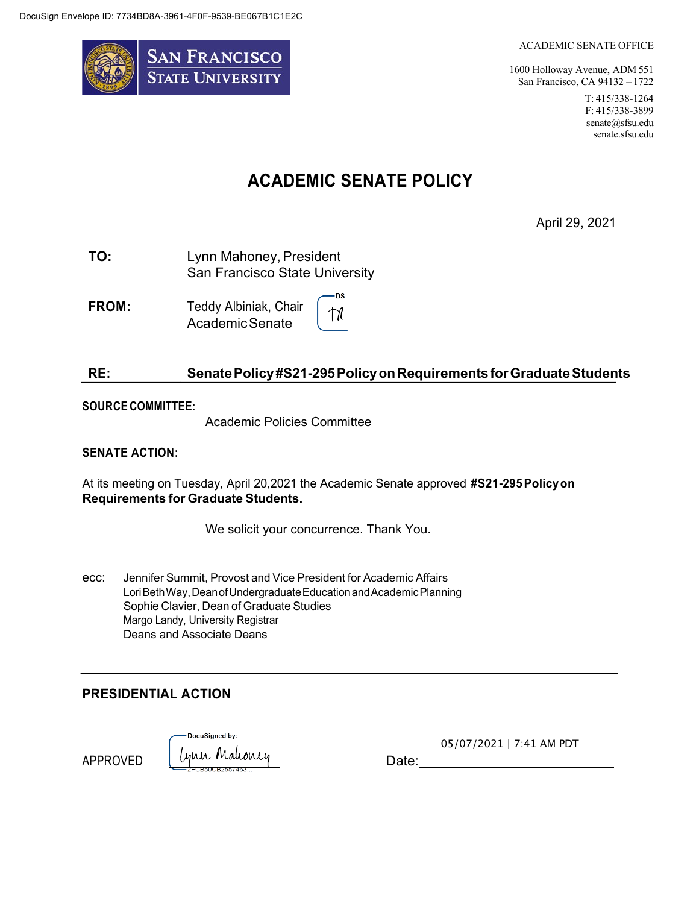

#### ACADEMIC SENATE OFFICE

1600 Holloway Avenue, ADM 551 San Francisco, CA 94132 – 1722 T: 415/338-1264 F: 415/338-3899 senate@sfsu.edu senate.sfsu.edu

# **ACADEMIC SENATE POLICY**

April 29, 2021

**TO:** Lynn Mahoney, President San Francisco State University

**FROM:** Teddy Albiniak, Chair tîl AcademicSenate

### **RE: SenatePolicy#S21-295PolicyonRequirementsforGraduateStudents**

·DS

#### **SOURCE COMMITTEE:**

Academic Policies Committee

#### **SENATE ACTION:**

At its meeting on Tuesday, April 20,2021 the Academic Senate approved **#S21-295Policyon Requirements for Graduate Students.**

We solicit your concurrence. Thank You.

ecc: Jennifer Summit, Provost and Vice President for Academic Affairs LoriBethWay, Dean of Undergraduate Education and Academic Planning Sophie Clavier, Dean of Graduate Studies Margo Landy, University Registrar Deans and Associate Deans

#### **PRESIDENTIAL ACTION**

APPROVED

DocuSianed by: Lynn Mahoney Date:

05/07/2021 | 7:41 AM PDT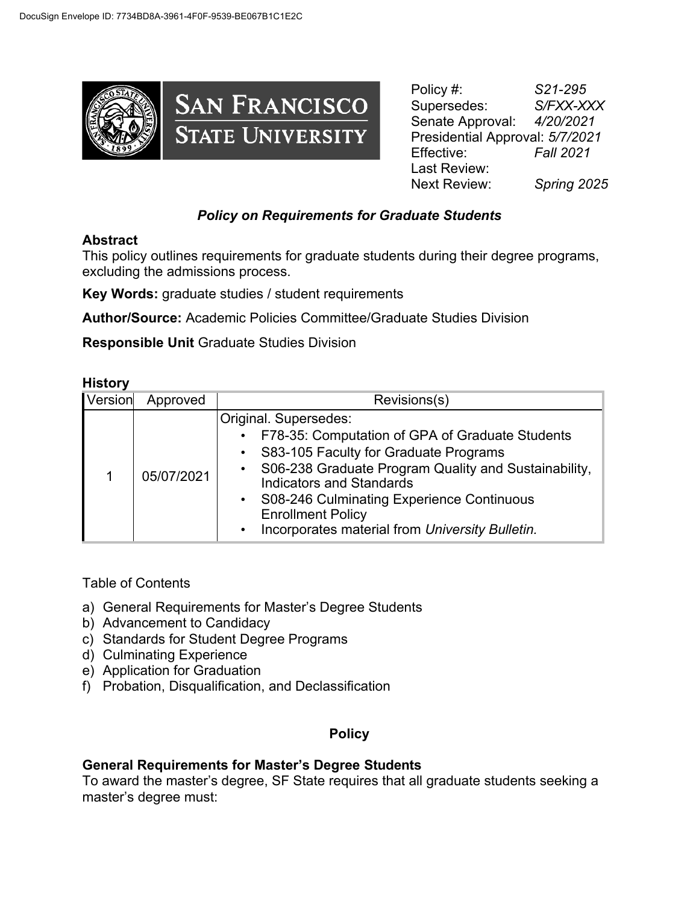

Policy #: *S21-295* Supersedes: *S/FXX-XXX*  Senate Approval: *4/20/2021*  Presidential Approval: *5/7/2021* Effective: *Fall 2021* Last Review: Next Review: *Spring 2025*

## *Policy on Requirements for Graduate Students*

#### **Abstract**

This policy outlines requirements for graduate students during their degree programs, excluding the admissions process.

**Key Words:** graduate studies / student requirements

**Author/Source:** Academic Policies Committee/Graduate Studies Division

**Responsible Unit** Graduate Studies Division

#### **History**

| Version | Approved   | Revisions(s)                                                                                                                                                                                                                                                                                                                                          |
|---------|------------|-------------------------------------------------------------------------------------------------------------------------------------------------------------------------------------------------------------------------------------------------------------------------------------------------------------------------------------------------------|
|         | 05/07/2021 | Original. Supersedes:<br>F78-35: Computation of GPA of Graduate Students<br>S83-105 Faculty for Graduate Programs<br>S06-238 Graduate Program Quality and Sustainability,<br><b>Indicators and Standards</b><br>S08-246 Culminating Experience Continuous<br>$\bullet$<br><b>Enrollment Policy</b><br>Incorporates material from University Bulletin. |

## Table of Contents

- a) General Requirements for Master's Degree Students
- b) Advancement to Candidacy
- c) Standards for Student Degree Programs
- d) Culminating Experience
- e) Application for Graduation
- f) Probation, Disqualification, and Declassification

## **Policy**

#### **General Requirements for Master's Degree Students**

To award the master's degree, SF State requires that all graduate students seeking a master's degree must: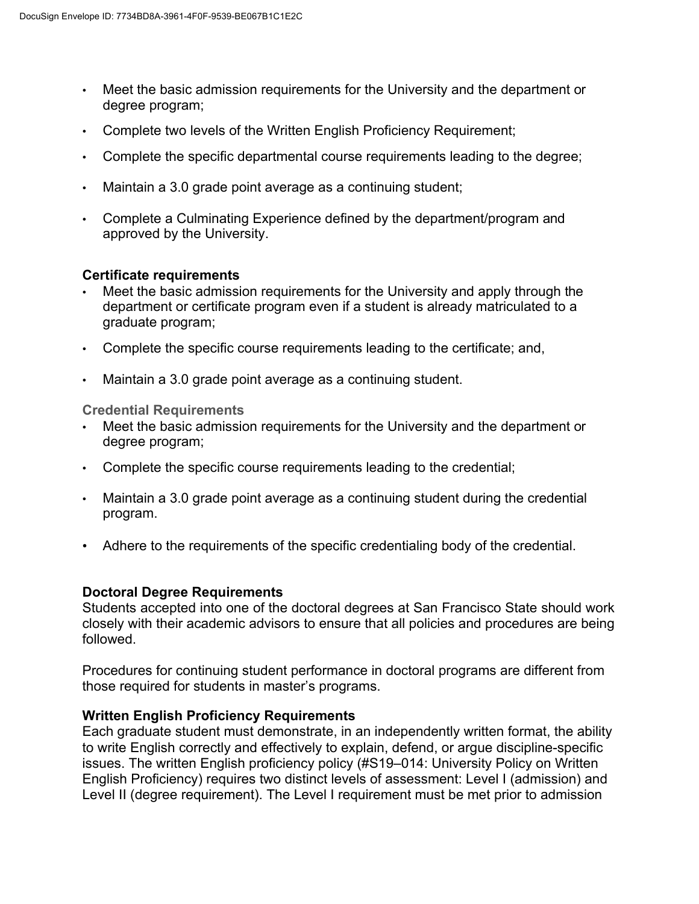- Meet the basic admission requirements for the University and the department or degree program;
- Complete two levels of the Written English Proficiency Requirement;
- Complete the specific departmental course requirements leading to the degree;
- Maintain a 3.0 grade point average as a continuing student;
- Complete a Culminating Experience defined by the department/program and approved by the University.

#### **Certificate requirements**

- Meet the basic admission requirements for the University and apply through the department or certificate program even if a student is already matriculated to a graduate program;
- Complete the specific course requirements leading to the certificate; and,
- Maintain a 3.0 grade point average as a continuing student.

**Credential Requirements**

- Meet the basic admission requirements for the University and the department or degree program;
- Complete the specific course requirements leading to the credential;
- Maintain a 3.0 grade point average as a continuing student during the credential program.
- Adhere to the requirements of the specific credentialing body of the credential.

#### **Doctoral Degree Requirements**

Students accepted into one of the doctoral degrees at San Francisco State should work closely with their academic advisors to ensure that all policies and procedures are being followed.

Procedures for continuing student performance in doctoral programs are different from those required for students in master's programs.

#### **Written English Proficiency Requirements**

Each graduate student must demonstrate, in an independently written format, the ability to write English correctly and effectively to explain, defend, or argue discipline-specific issues. The written English proficiency policy (#S19–014: University Policy on Written English Proficiency) requires two distinct levels of assessment: Level I (admission) and Level II (degree requirement). The Level I requirement must be met prior to admission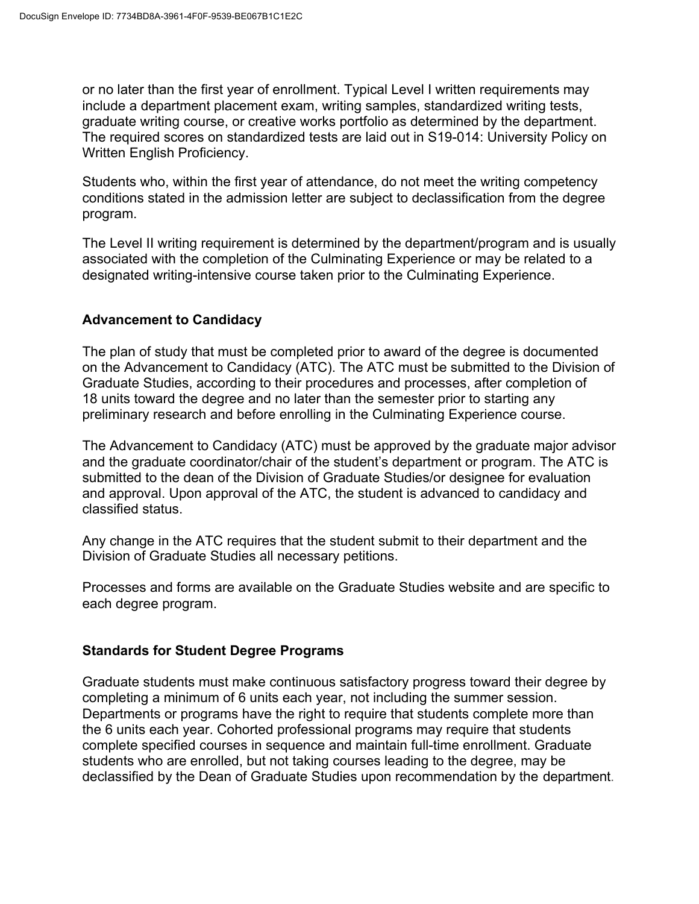or no later than the first year of enrollment. Typical Level I written requirements may include a department placement exam, writing samples, standardized writing tests, graduate writing course, or creative works portfolio as determined by the department. The required scores on standardized tests are laid out in S19-014: University Policy on Written English Proficiency.

Students who, within the first year of attendance, do not meet the writing competency conditions stated in the admission letter are subject to declassification from the degree program.

The Level II writing requirement is determined by the department/program and is usually associated with the completion of the Culminating Experience or may be related to a designated writing-intensive course taken prior to the Culminating Experience.

## **Advancement to Candidacy**

The plan of study that must be completed prior to award of the degree is documented on the Advancement to Candidacy (ATC). The ATC must be submitted to the Division of Graduate Studies, according to their procedures and processes, after completion of 18 units toward the degree and no later than the semester prior to starting any preliminary research and before enrolling in the Culminating Experience course.

The Advancement to Candidacy (ATC) must be approved by the graduate major advisor and the graduate coordinator/chair of the student's department or program. The ATC is submitted to the dean of the Division of Graduate Studies/or designee for evaluation and approval. Upon approval of the ATC, the student is advanced to candidacy and classified status.

Any change in the ATC requires that the student submit to their department and the Division of Graduate Studies all necessary petitions.

Processes and forms are available on the Graduate Studies website and are specific to each degree program.

#### **Standards for Student Degree Programs**

Graduate students must make continuous satisfactory progress toward their degree by completing a minimum of 6 units each year, not including the summer session. Departments or programs have the right to require that students complete more than the 6 units each year. Cohorted professional programs may require that students complete specified courses in sequence and maintain full-time enrollment. Graduate students who are enrolled, but not taking courses leading to the degree, may be declassified by the Dean of Graduate Studies upon recommendation by the department.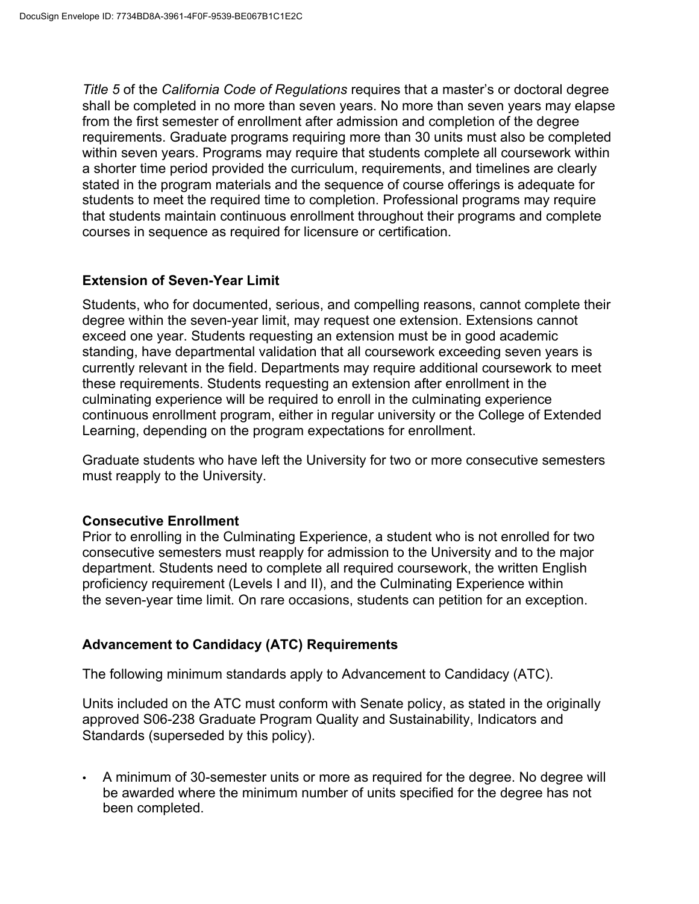*Title 5* of the *California Code of Regulations* requires that a master's or doctoral degree shall be completed in no more than seven years. No more than seven years may elapse from the first semester of enrollment after admission and completion of the degree requirements. Graduate programs requiring more than 30 units must also be completed within seven years. Programs may require that students complete all coursework within a shorter time period provided the curriculum, requirements, and timelines are clearly stated in the program materials and the sequence of course offerings is adequate for students to meet the required time to completion. Professional programs may require that students maintain continuous enrollment throughout their programs and complete courses in sequence as required for licensure or certification.

### **Extension of Seven-Year Limit**

Students, who for documented, serious, and compelling reasons, cannot complete their degree within the seven-year limit, may request one extension. Extensions cannot exceed one year. Students requesting an extension must be in good academic standing, have departmental validation that all coursework exceeding seven years is currently relevant in the field. Departments may require additional coursework to meet these requirements. Students requesting an extension after enrollment in the culminating experience will be required to enroll in the culminating experience continuous enrollment program, either in regular university or the College of Extended Learning, depending on the program expectations for enrollment.

Graduate students who have left the University for two or more consecutive semesters must reapply to the University.

#### **Consecutive Enrollment**

Prior to enrolling in the Culminating Experience, a student who is not enrolled for two consecutive semesters must reapply for admission to the University and to the major department. Students need to complete all required coursework, the written English proficiency requirement (Levels I and II), and the Culminating Experience within the seven-year time limit. On rare occasions, students can petition for an exception.

## **Advancement to Candidacy (ATC) Requirements**

The following minimum standards apply to Advancement to Candidacy (ATC).

Units included on the ATC must conform with Senate policy, as stated in the originally approved S06-238 Graduate Program Quality and Sustainability, Indicators and Standards (superseded by this policy).

• A minimum of 30-semester units or more as required for the degree. No degree will be awarded where the minimum number of units specified for the degree has not been completed.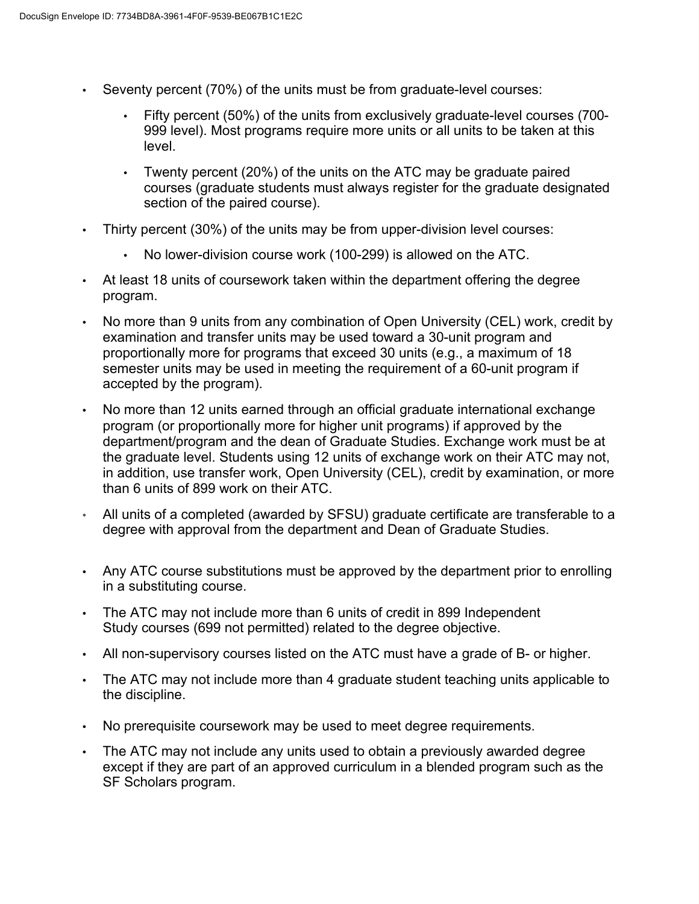- Seventy percent (70%) of the units must be from graduate-level courses:
	- Fifty percent (50%) of the units from exclusively graduate-level courses (700- 999 level). Most programs require more units or all units to be taken at this level.
	- Twenty percent (20%) of the units on the ATC may be graduate paired courses (graduate students must always register for the graduate designated section of the paired course).
- Thirty percent (30%) of the units may be from upper-division level courses:
	- No lower-division course work (100-299) is allowed on the ATC.
- At least 18 units of coursework taken within the department offering the degree program.
- No more than 9 units from any combination of Open University (CEL) work, credit by examination and transfer units may be used toward a 30-unit program and proportionally more for programs that exceed 30 units (e.g., a maximum of 18 semester units may be used in meeting the requirement of a 60-unit program if accepted by the program).
- No more than 12 units earned through an official graduate international exchange program (or proportionally more for higher unit programs) if approved by the department/program and the dean of Graduate Studies. Exchange work must be at the graduate level. Students using 12 units of exchange work on their ATC may not, in addition, use transfer work, Open University (CEL), credit by examination, or more than 6 units of 899 work on their ATC.
- All units of a completed (awarded by SFSU) graduate certificate are transferable to a degree with approval from the department and Dean of Graduate Studies.
- Any ATC course substitutions must be approved by the department prior to enrolling in a substituting course.
- The ATC may not include more than 6 units of credit in 899 Independent Study courses (699 not permitted) related to the degree objective.
- All non-supervisory courses listed on the ATC must have a grade of B- or higher.
- The ATC may not include more than 4 graduate student teaching units applicable to the discipline.
- No prerequisite coursework may be used to meet degree requirements.
- The ATC may not include any units used to obtain a previously awarded degree except if they are part of an approved curriculum in a blended program such as the SF Scholars program.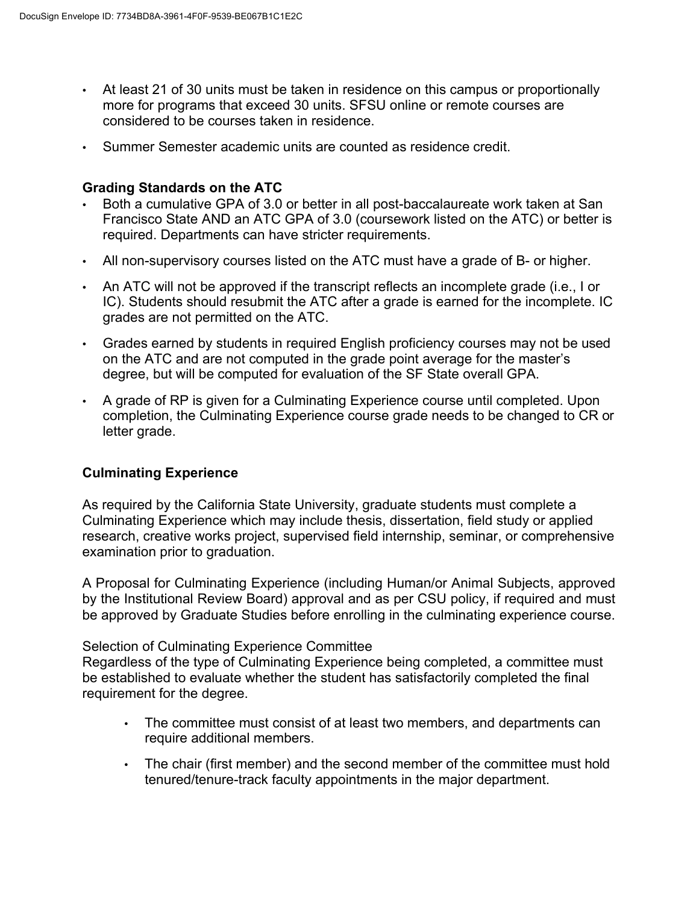- At least 21 of 30 units must be taken in residence on this campus or proportionally more for programs that exceed 30 units. SFSU online or remote courses are considered to be courses taken in residence.
- Summer Semester academic units are counted as residence credit.

#### **Grading Standards on the ATC**

- Both a cumulative GPA of 3.0 or better in all post-baccalaureate work taken at San Francisco State AND an ATC GPA of 3.0 (coursework listed on the ATC) or better is required. Departments can have stricter requirements.
- All non-supervisory courses listed on the ATC must have a grade of B- or higher.
- An ATC will not be approved if the transcript reflects an incomplete grade (i.e., I or IC). Students should resubmit the ATC after a grade is earned for the incomplete. IC grades are not permitted on the ATC.
- Grades earned by students in required English proficiency courses may not be used on the ATC and are not computed in the grade point average for the master's degree, but will be computed for evaluation of the SF State overall GPA.
- A grade of RP is given for a Culminating Experience course until completed. Upon completion, the Culminating Experience course grade needs to be changed to CR or letter grade.

#### **Culminating Experience**

As required by the California State University, graduate students must complete a Culminating Experience which may include thesis, dissertation, field study or applied research, creative works project, supervised field internship, seminar, or comprehensive examination prior to graduation.

A Proposal for Culminating Experience (including Human/or Animal Subjects, approved by the Institutional Review Board) approval and as per CSU policy, if required and must be approved by Graduate Studies before enrolling in the culminating experience course.

#### Selection of Culminating Experience Committee

Regardless of the type of Culminating Experience being completed, a committee must be established to evaluate whether the student has satisfactorily completed the final requirement for the degree.

- The committee must consist of at least two members, and departments can require additional members.
- The chair (first member) and the second member of the committee must hold tenured/tenure-track faculty appointments in the major department.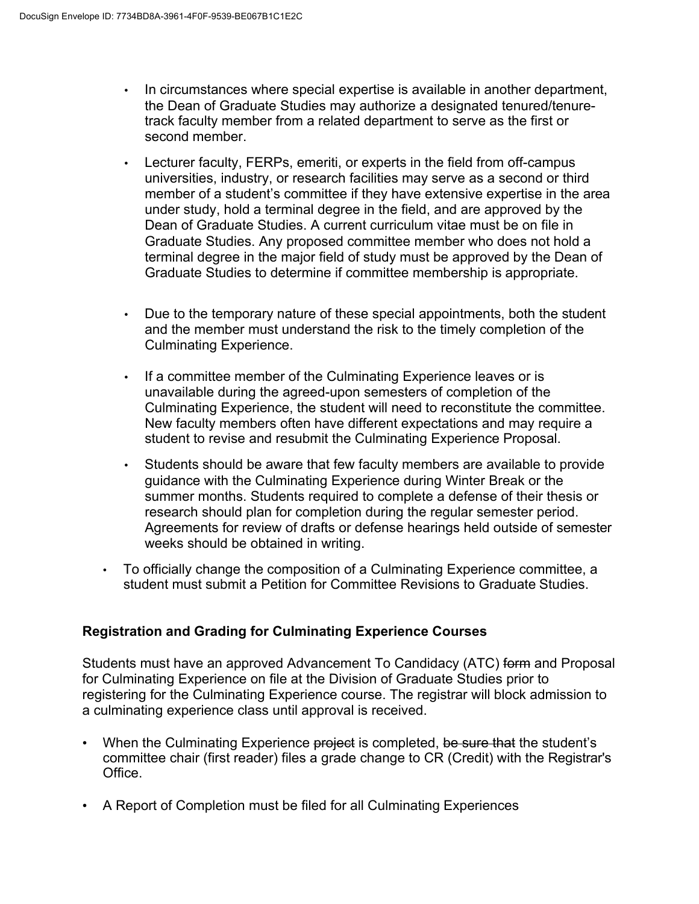- In circumstances where special expertise is available in another department, the Dean of Graduate Studies may authorize a designated tenured/tenuretrack faculty member from a related department to serve as the first or second member.
- Lecturer faculty, FERPs, emeriti, or experts in the field from off-campus universities, industry, or research facilities may serve as a second or third member of a student's committee if they have extensive expertise in the area under study, hold a terminal degree in the field, and are approved by the Dean of Graduate Studies. A current curriculum vitae must be on file in Graduate Studies. Any proposed committee member who does not hold a terminal degree in the major field of study must be approved by the Dean of Graduate Studies to determine if committee membership is appropriate.
- Due to the temporary nature of these special appointments, both the student and the member must understand the risk to the timely completion of the Culminating Experience.
- If a committee member of the Culminating Experience leaves or is unavailable during the agreed-upon semesters of completion of the Culminating Experience, the student will need to reconstitute the committee. New faculty members often have different expectations and may require a student to revise and resubmit the Culminating Experience Proposal.
- Students should be aware that few faculty members are available to provide guidance with the Culminating Experience during Winter Break or the summer months. Students required to complete a defense of their thesis or research should plan for completion during the regular semester period. Agreements for review of drafts or defense hearings held outside of semester weeks should be obtained in writing.
- To officially change the composition of a Culminating Experience committee, a student must submit a Petition for Committee Revisions to Graduate Studies.

## **Registration and Grading for Culminating Experience Courses**

Students must have an approved Advancement To Candidacy (ATC) form and Proposal for Culminating Experience on file at the Division of Graduate Studies prior to registering for the Culminating Experience course. The registrar will block admission to a culminating experience class until approval is received.

- When the Culminating Experience project is completed, be sure that the student's committee chair (first reader) files a grade change to CR (Credit) with the Registrar's Office.
- A Report of Completion must be filed for all Culminating Experiences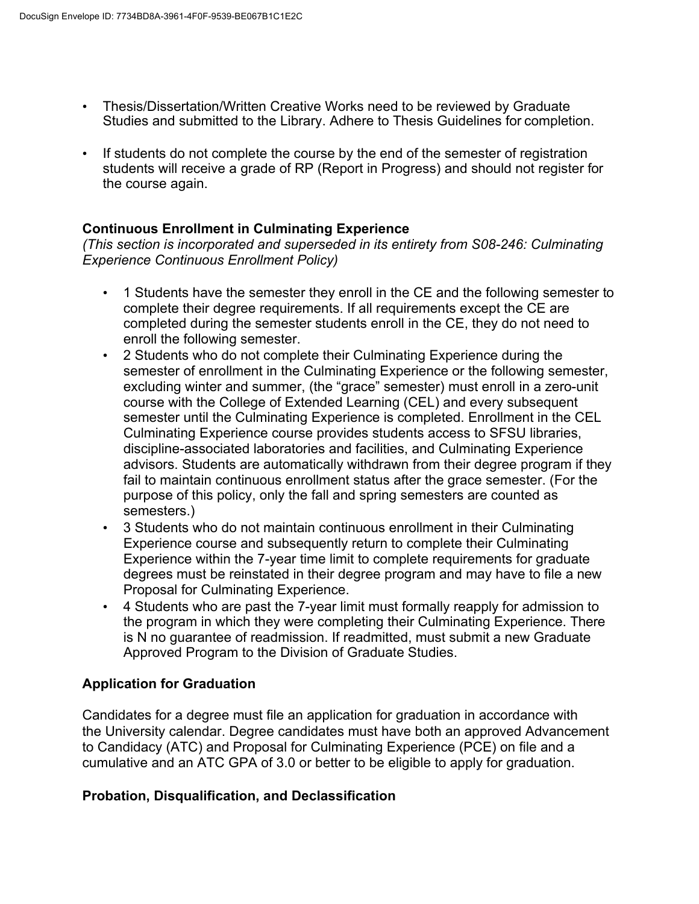- Thesis/Dissertation/Written Creative Works need to be reviewed by Graduate Studies and submitted to the Library. Adhere to Thesis Guidelines for completion.
- If students do not complete the course by the end of the semester of registration students will receive a grade of RP (Report in Progress) and should not register for the course again.

#### **Continuous Enrollment in Culminating Experience**

*(This section is incorporated and superseded in its entirety from S08-246: Culminating Experience Continuous Enrollment Policy)*

- 1 Students have the semester they enroll in the CE and the following semester to complete their degree requirements. If all requirements except the CE are completed during the semester students enroll in the CE, they do not need to enroll the following semester.
- 2 Students who do not complete their Culminating Experience during the semester of enrollment in the Culminating Experience or the following semester, excluding winter and summer, (the "grace" semester) must enroll in a zero-unit course with the College of Extended Learning (CEL) and every subsequent semester until the Culminating Experience is completed. Enrollment in the CEL Culminating Experience course provides students access to SFSU libraries, discipline-associated laboratories and facilities, and Culminating Experience advisors. Students are automatically withdrawn from their degree program if they fail to maintain continuous enrollment status after the grace semester. (For the purpose of this policy, only the fall and spring semesters are counted as semesters.)
- 3 Students who do not maintain continuous enrollment in their Culminating Experience course and subsequently return to complete their Culminating Experience within the 7-year time limit to complete requirements for graduate degrees must be reinstated in their degree program and may have to file a new Proposal for Culminating Experience.
- 4 Students who are past the 7-year limit must formally reapply for admission to the program in which they were completing their Culminating Experience. There is N no guarantee of readmission. If readmitted, must submit a new Graduate Approved Program to the Division of Graduate Studies.

#### **Application for Graduation**

Candidates for a degree must file an application for graduation in accordance with the University calendar. Degree candidates must have both an approved Advancement to Candidacy (ATC) and Proposal for Culminating Experience (PCE) on file and a cumulative and an ATC GPA of 3.0 or better to be eligible to apply for graduation.

#### **Probation, Disqualification, and Declassification**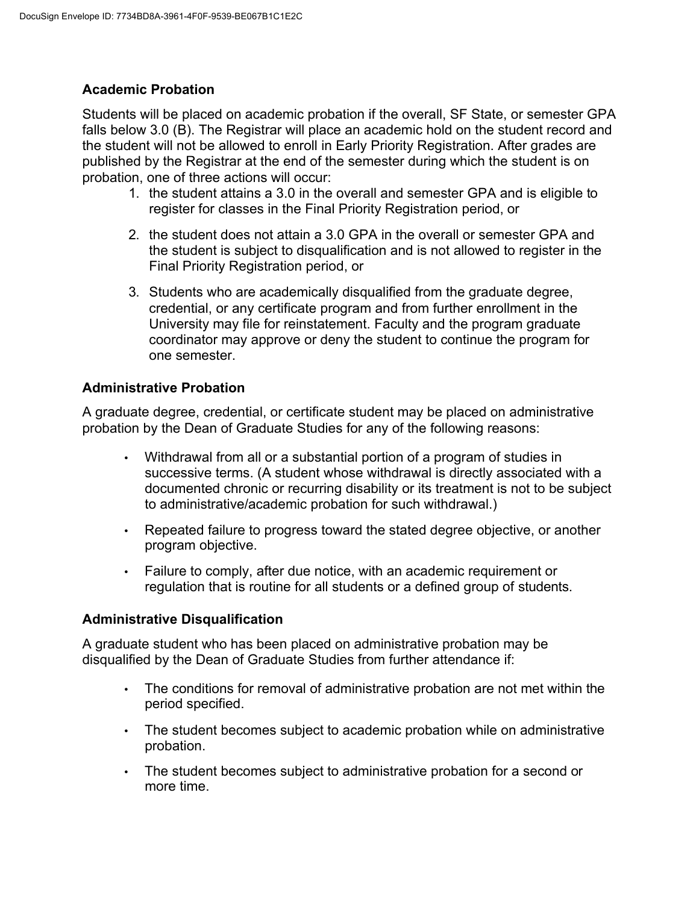## **Academic Probation**

Students will be placed on academic probation if the overall, SF State, or semester GPA falls below 3.0 (B). The Registrar will place an academic hold on the student record and the student will not be allowed to enroll in Early Priority Registration. After grades are published by the Registrar at the end of the semester during which the student is on probation, one of three actions will occur:

- 1. the student attains a 3.0 in the overall and semester GPA and is eligible to register for classes in the Final Priority Registration period, or
- 2. the student does not attain a 3.0 GPA in the overall or semester GPA and the student is subject to disqualification and is not allowed to register in the Final Priority Registration period, or
- 3. Students who are academically disqualified from the graduate degree, credential, or any certificate program and from further enrollment in the University may file for reinstatement. Faculty and the program graduate coordinator may approve or deny the student to continue the program for one semester.

### **Administrative Probation**

A graduate degree, credential, or certificate student may be placed on administrative probation by the Dean of Graduate Studies for any of the following reasons:

- Withdrawal from all or a substantial portion of a program of studies in successive terms. (A student whose withdrawal is directly associated with a documented chronic or recurring disability or its treatment is not to be subject to administrative/academic probation for such withdrawal.)
- Repeated failure to progress toward the stated degree objective, or another program objective.
- Failure to comply, after due notice, with an academic requirement or regulation that is routine for all students or a defined group of students.

#### **Administrative Disqualification**

A graduate student who has been placed on administrative probation may be disqualified by the Dean of Graduate Studies from further attendance if:

- The conditions for removal of administrative probation are not met within the period specified.
- The student becomes subject to academic probation while on administrative probation.
- The student becomes subject to administrative probation for a second or more time.